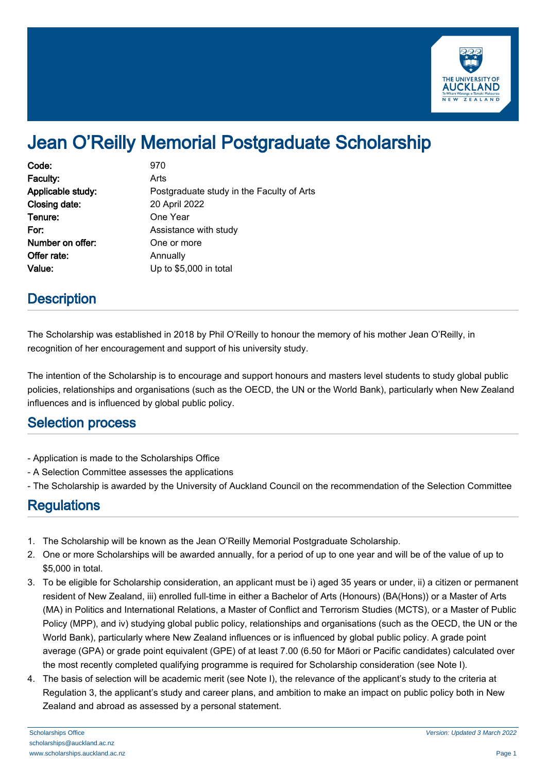

# Jean O'Reilly Memorial Postgraduate Scholarship

| Code:             | 970                                       |
|-------------------|-------------------------------------------|
| Faculty:          | Arts                                      |
| Applicable study: | Postgraduate study in the Faculty of Arts |
| Closing date:     | 20 April 2022                             |
| Tenure:           | One Year                                  |
| For:              | Assistance with study                     |
| Number on offer:  | One or more                               |
| Offer rate:       | Annually                                  |
| Value:            | Up to \$5,000 in total                    |

## **Description**

The Scholarship was established in 2018 by Phil O'Reilly to honour the memory of his mother Jean O'Reilly, in recognition of her encouragement and support of his university study.

The intention of the Scholarship is to encourage and support honours and masters level students to study global public policies, relationships and organisations (such as the OECD, the UN or the World Bank), particularly when New Zealand influences and is influenced by global public policy.

#### Selection process

- Application is made to the Scholarships Office
- A Selection Committee assesses the applications
- The Scholarship is awarded by the University of Auckland Council on the recommendation of the Selection Committee

#### **Regulations**

- 1. The Scholarship will be known as the Jean O'Reilly Memorial Postgraduate Scholarship.
- 2. One or more Scholarships will be awarded annually, for a period of up to one year and will be of the value of up to \$5,000 in total.
- 3. To be eligible for Scholarship consideration, an applicant must be i) aged 35 years or under, ii) a citizen or permanent resident of New Zealand, iii) enrolled full-time in either a Bachelor of Arts (Honours) (BA(Hons)) or a Master of Arts (MA) in Politics and International Relations, a Master of Conflict and Terrorism Studies (MCTS), or a Master of Public Policy (MPP), and iv) studying global public policy, relationships and organisations (such as the OECD, the UN or the World Bank), particularly where New Zealand influences or is influenced by global public policy. A grade point average (GPA) or grade point equivalent (GPE) of at least 7.00 (6.50 for Māori or Pacific candidates) calculated over the most recently completed qualifying programme is required for Scholarship consideration (see Note I).
- 4. The basis of selection will be academic merit (see Note I), the relevance of the applicant's study to the criteria at Regulation 3, the applicant's study and career plans, and ambition to make an impact on public policy both in New Zealand and abroad as assessed by a personal statement.